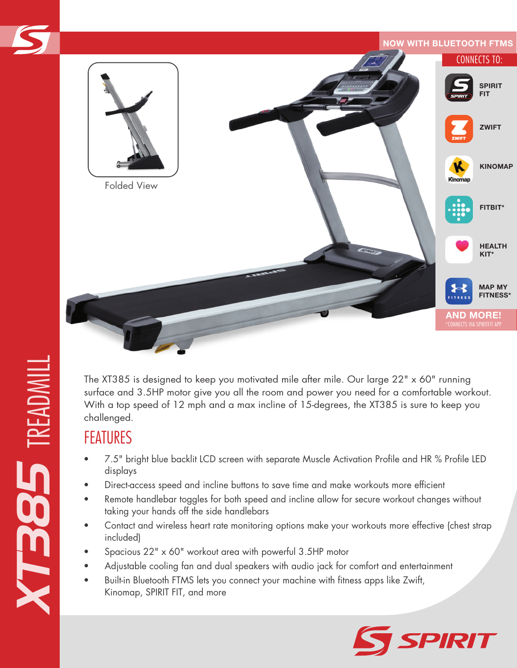

The XT385 is designed to keep you motivated mile after mile. Our large 22" x 60" running surface and 3.5HP motor give you all the room and power you need for a comfortable workout. With a top speed of 12 mph and a max incline of 15-degrees, the XT385 is sure to keep you challenged.

## FEATURES

- 7.5" bright blue backlit LCD screen with separate Muscle Activation Profile and HR % Profile LED displays
- Direct-access speed and incline buttons to save time and make workouts more efficient
- Remote handlebar toggles for both speed and incline allow for secure workout changes without taking your hands off the side handlebars
- Contact and wireless heart rate monitoring options make your workouts more effective (chest strap included)
- Spacious 22" x 60" workout area with powerful 3.5HP motor
- Adjustable cooling fan and dual speakers with audio jack for comfort and entertainment
- Built-in Bluetooth FTMS lets you connect your machine with fitness apps like Zwift, Kinomap, SPIRIT FIT, and more